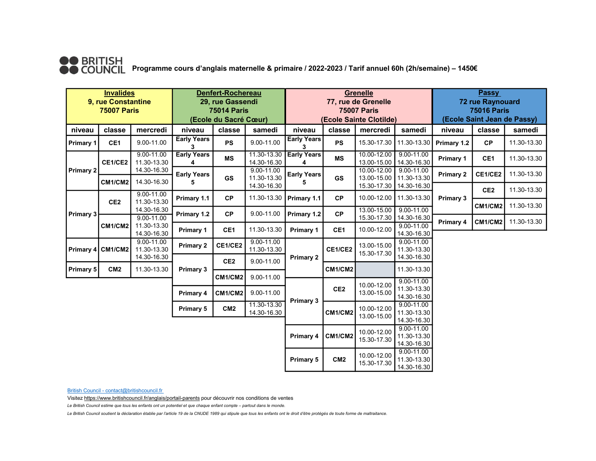

●● BRITISH<br>●● COUNCIL Programme cours d'anglais maternelle & primaire / 2022-2023 / Tarif annuel 60h (2h/semaine) – 1450€

| <b>Invalides</b><br>9, rue Constantine<br><b>75007 Paris</b> |                              |                                                             | Denfert-Rochereau<br>29, rue Gassendi<br><b>75014 Paris</b><br>(Ecole du Sacré Cœur) |                  |                            | Grenelle<br>77, rue de Grenelle<br><b>75007 Paris</b><br>(Ecole Sainte Clotilde) |                            |                                              |                                              | <b>Passy</b><br><b>72 rue Raynouard</b><br><b>75016 Paris</b><br>(Ecole Saint Jean de Passy) |                 |             |
|--------------------------------------------------------------|------------------------------|-------------------------------------------------------------|--------------------------------------------------------------------------------------|------------------|----------------------------|----------------------------------------------------------------------------------|----------------------------|----------------------------------------------|----------------------------------------------|----------------------------------------------------------------------------------------------|-----------------|-------------|
|                                                              | classe<br>mercredi<br>niveau |                                                             | niveau                                                                               | samedi<br>classe |                            | niveau<br>classe<br>mercredi                                                     |                            |                                              | samedi                                       | niveau<br>classe<br>samedi                                                                   |                 |             |
| Primary 1                                                    | CE1                          | 9.00-11.00                                                  | <b>Early Years</b>                                                                   | <b>PS</b>        | 9.00-11.00                 | <b>Early Years</b><br>3                                                          | <b>PS</b>                  | 15.30-17.30                                  | 11.30-13.30                                  | Primary 1.2                                                                                  | <b>CP</b>       | 11.30-13.30 |
| <b>Primary 2</b>                                             | CE1/CE2                      | $9.00 - 11.00$<br>11.30-13.30<br>14.30-16.30<br>14.30-16.30 | <b>Early Years</b>                                                                   | <b>MS</b>        | 11.30-13.30<br>14.30-16.30 | <b>Early Years</b>                                                               | <b>MS</b>                  | 10.00-12.00<br>13.00-15.00                   | $9.00 - 11.00$<br>14.30-16.30                | <b>Primary 1</b>                                                                             | CE1             | 11.30-13.30 |
|                                                              | CM1/CM2                      |                                                             | <b>Early Years</b>                                                                   | GS               | 9.00-11.00<br>11.30-13.30  | <b>Early Years</b><br>5                                                          | GS                         | 10.00-12.00<br>13.00-15.00                   | 9.00-11.00<br>11.30-13.30                    | <b>Primary 2</b>                                                                             | CE1/CE2         | 11.30-13.30 |
| <b>Primary 3</b>                                             |                              | $9.00 - 11.00$                                              | Primary 1.1                                                                          | <b>CP</b>        | 14.30-16.30<br>11.30-13.30 | Primary 1.1<br>Primary 1.2                                                       | <b>CP</b>                  | 15.30-17.30<br>10.00-12.00                   | 14.30-16.30<br>11.30-13.30                   | <b>Primary 3</b>                                                                             | CE <sub>2</sub> | 11.30-13.30 |
|                                                              | CE <sub>2</sub>              | 11.30-13.30<br>14.30-16.30                                  | Primary 1.2                                                                          | <b>CP</b>        | 9.00-11.00                 |                                                                                  | CP                         | 13.00-15.00                                  | $9.00 - 11.00$                               |                                                                                              | CM1/CM2         | 11.30-13.30 |
|                                                              | CM1/CM2                      | 9.00-11.00<br>11.30-13.30<br>14.30-16.30                    | <b>Primary 1</b>                                                                     | CE1              | 11.30-13.30                | Primary 1                                                                        | CE1                        | 15.30-17.30<br>10.00-12.00                   | 14.30-16.30<br>$9.00 - 11.00$<br>14.30-16.30 | Primary 4                                                                                    | CM1/CM2         | 11.30-13.30 |
|                                                              | Primary 4 CM1/CM2            | 9.00-11.00<br>11.30-13.30<br>14.30-16.30                    | <b>Primary 2</b>                                                                     | CE1/CE2          | 9.00-11.00<br>11.30-13.30  | <b>Primary 2</b>                                                                 | CE1/CE2                    | 13.00-15.00<br>15.30-17.30                   | $9.00 - 11.00$<br>11.30-13.30<br>14.30-16.30 |                                                                                              |                 |             |
| Primary 5                                                    | CM <sub>2</sub>              | 11.30-13.30                                                 | <b>Primary 3</b>                                                                     | CE <sub>2</sub>  | 9.00-11.00                 |                                                                                  | CM1/CM2                    |                                              | 11.30-13.30                                  |                                                                                              |                 |             |
|                                                              |                              |                                                             |                                                                                      | CM1/CM2          | 9.00-11.00                 |                                                                                  |                            | 10.00-12.00                                  | 9.00-11.00                                   |                                                                                              |                 |             |
|                                                              |                              | Primary 4                                                   | CM1/CM2                                                                              | 9.00-11.00       | Primary 3                  | CE <sub>2</sub>                                                                  | 13.00-15.00                | 11.30-13.30<br>14.30-16.30                   |                                              |                                                                                              |                 |             |
|                                                              |                              |                                                             | <b>Primary 5</b>                                                                     | CM <sub>2</sub>  | 11.30-13.30<br>14.30-16.30 |                                                                                  | CM1/CM2                    | 10.00-12.00<br>13.00-15.00                   | $9.00 - 11.00$<br>11.30-13.30<br>14.30-16.30 |                                                                                              |                 |             |
|                                                              |                              |                                                             |                                                                                      |                  |                            | Primary 4                                                                        | CM1/CM2                    | 10.00-12.00<br>15.30-17.30                   | 9.00-11.00<br>11.30-13.30<br>14.30-16.30     |                                                                                              |                 |             |
|                                                              |                              |                                                             |                                                                                      |                  | <b>Primary 5</b>           | CM <sub>2</sub>                                                                  | 10.00-12.00<br>15.30-17.30 | $9.00 - 11.00$<br>11.30-13.30<br>14.30-16.30 |                                              |                                                                                              |                 |             |

British Council - contact@britishcouncil.fr

Visitez https://www.britishcouncil.fr/anglais/portail-parents pour découvrir nos conditions de ventes

Le British Council estime que tous les enfants ont un potentiel et que chaque enfant compte – partout dans le monde.

Le British Council soutient la déclaration établie par l'article 19 de la CNUDE 1989 qui stipule que tous les enfants ont le droit d'être protégés de toute forme de maltraitance.